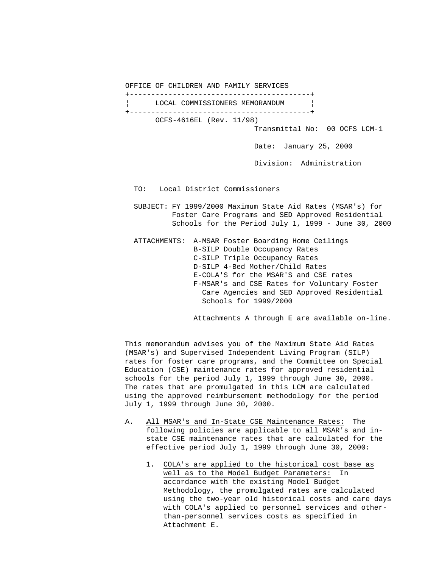OFFICE OF CHILDREN AND FAMILY SERVICES

 +------------------------------------------+ LOCAL COMMISSIONERS MEMORANDUM | +------------------------------------------+ OCFS-4616EL (Rev. 11/98)

Transmittal No: 00 OCFS LCM-1

Date: January 25, 2000

Division: Administration

TO: Local District Commissioners

 SUBJECT: FY 1999/2000 Maximum State Aid Rates (MSAR's) for Foster Care Programs and SED Approved Residential Schools for the Period July 1, 1999 - June 30, 2000

 ATTACHMENTS: A-MSAR Foster Boarding Home Ceilings B-SILP Double Occupancy Rates C-SILP Triple Occupancy Rates D-SILP 4-Bed Mother/Child Rates E-COLA'S for the MSAR'S and CSE rates F-MSAR's and CSE Rates for Voluntary Foster Care Agencies and SED Approved Residential Schools for 1999/2000

Attachments A through E are available on-line.

 This memorandum advises you of the Maximum State Aid Rates (MSAR's) and Supervised Independent Living Program (SILP) rates for foster care programs, and the Committee on Special Education (CSE) maintenance rates for approved residential schools for the period July 1, 1999 through June 30, 2000. The rates that are promulgated in this LCM are calculated using the approved reimbursement methodology for the period July 1, 1999 through June 30, 2000.

- A. All MSAR's and In-State CSE Maintenance Rates: The following policies are applicable to all MSAR's and in state CSE maintenance rates that are calculated for the effective period July 1, 1999 through June 30, 2000:
	- 1. COLA's are applied to the historical cost base as well as to the Model Budget Parameters: In accordance with the existing Model Budget Methodology, the promulgated rates are calculated using the two-year old historical costs and care days with COLA's applied to personnel services and other than-personnel services costs as specified in Attachment E.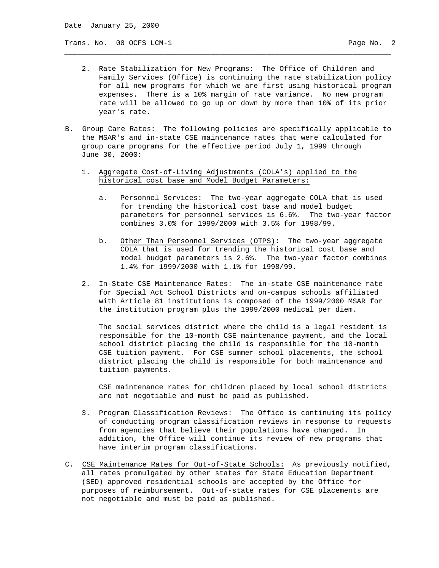Trans. No. 00 OCFS LCM-1 example of the contract of the contract of the page No. 2

 2. Rate Stabilization for New Programs: The Office of Children and Family Services (Office) is continuing the rate stabilization policy for all new programs for which we are first using historical program expenses. There is a 10% margin of rate variance. No new program rate will be allowed to go up or down by more than 10% of its prior year's rate.

\_\_\_\_\_\_\_\_\_\_\_\_\_\_\_\_\_\_\_\_\_\_\_\_\_\_\_\_\_\_\_\_\_\_\_\_\_\_\_\_\_\_\_\_\_\_\_\_\_\_\_\_\_\_\_\_\_\_\_\_\_\_\_\_\_\_\_\_\_\_\_\_\_\_\_\_

- B. Group Care Rates: The following policies are specifically applicable to the MSAR's and in-state CSE maintenance rates that were calculated for group care programs for the effective period July 1, 1999 through June 30, 2000:
	- 1. Aggregate Cost-of-Living Adjustments (COLA's) applied to the historical cost base and Model Budget Parameters:
		- a. Personnel Services: The two-year aggregate COLA that is used for trending the historical cost base and model budget parameters for personnel services is 6.6%. The two-year factor combines 3.0% for 1999/2000 with 3.5% for 1998/99.
		- b. Other Than Personnel Services (OTPS): The two-year aggregate COLA that is used for trending the historical cost base and model budget parameters is 2.6%. The two-year factor combines 1.4% for 1999/2000 with 1.1% for 1998/99.
	- 2. In-State CSE Maintenance Rates: The in-state CSE maintenance rate for Special Act School Districts and on-campus schools affiliated with Article 81 institutions is composed of the 1999/2000 MSAR for the institution program plus the 1999/2000 medical per diem.

 The social services district where the child is a legal resident is responsible for the 10-month CSE maintenance payment, and the local school district placing the child is responsible for the 10-month CSE tuition payment. For CSE summer school placements, the school district placing the child is responsible for both maintenance and tuition payments.

 CSE maintenance rates for children placed by local school districts are not negotiable and must be paid as published.

- 3. Program Classification Reviews: The Office is continuing its policy of conducting program classification reviews in response to requests from agencies that believe their populations have changed. In addition, the Office will continue its review of new programs that have interim program classifications.
- C. CSE Maintenance Rates for Out-of-State Schools: As previously notified, all rates promulgated by other states for State Education Department (SED) approved residential schools are accepted by the Office for purposes of reimbursement. Out-of-state rates for CSE placements are not negotiable and must be paid as published.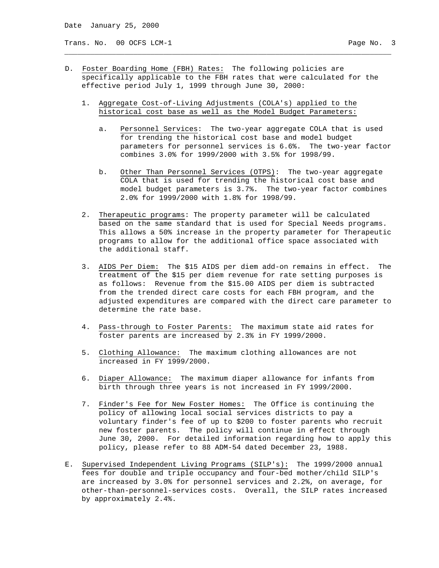Trans. No. 00 OCFS LCM-1 example of the contract of the contract of the page No. 3

D. Foster Boarding Home (FBH) Rates: The following policies are specifically applicable to the FBH rates that were calculated for the effective period July 1, 1999 through June 30, 2000:

\_\_\_\_\_\_\_\_\_\_\_\_\_\_\_\_\_\_\_\_\_\_\_\_\_\_\_\_\_\_\_\_\_\_\_\_\_\_\_\_\_\_\_\_\_\_\_\_\_\_\_\_\_\_\_\_\_\_\_\_\_\_\_\_\_\_\_\_\_\_\_\_\_\_\_\_

- 1. Aggregate Cost-of-Living Adjustments (COLA's) applied to the historical cost base as well as the Model Budget Parameters:
	- a. Personnel Services: The two-year aggregate COLA that is used for trending the historical cost base and model budget parameters for personnel services is 6.6%. The two-year factor combines 3.0% for 1999/2000 with 3.5% for 1998/99.
	- b. Other Than Personnel Services (OTPS): The two-year aggregate COLA that is used for trending the historical cost base and model budget parameters is 3.7%. The two-year factor combines 2.0% for 1999/2000 with 1.8% for 1998/99.
- 2. Therapeutic programs: The property parameter will be calculated based on the same standard that is used for Special Needs programs. This allows a 50% increase in the property parameter for Therapeutic programs to allow for the additional office space associated with the additional staff.
- 3. AIDS Per Diem: The \$15 AIDS per diem add-on remains in effect. The treatment of the \$15 per diem revenue for rate setting purposes is as follows: Revenue from the \$15.00 AIDS per diem is subtracted from the trended direct care costs for each FBH program, and the adjusted expenditures are compared with the direct care parameter to determine the rate base.
- 4. Pass-through to Foster Parents: The maximum state aid rates for foster parents are increased by 2.3% in FY 1999/2000.
- 5. Clothing Allowance: The maximum clothing allowances are not increased in FY 1999/2000.
- 6. Diaper Allowance: The maximum diaper allowance for infants from birth through three years is not increased in FY 1999/2000.
- 7. Finder's Fee for New Foster Homes: The Office is continuing the policy of allowing local social services districts to pay a voluntary finder's fee of up to \$200 to foster parents who recruit new foster parents. The policy will continue in effect through June 30, 2000. For detailed information regarding how to apply this policy, please refer to 88 ADM-54 dated December 23, 1988.
- E. Supervised Independent Living Programs (SILP's): The 1999/2000 annual fees for double and triple occupancy and four-bed mother/child SILP's are increased by 3.0% for personnel services and 2.2%, on average, for other-than-personnel-services costs. Overall, the SILP rates increased by approximately 2.4%.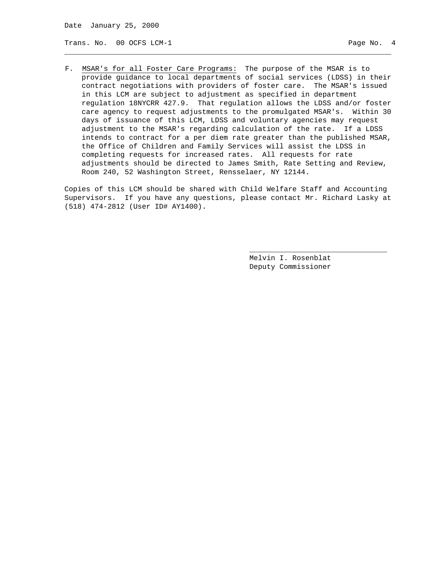Trans. No. 00 OCFS LCM-1 **Page No. 4** Page No. 4

F. MSAR's for all Foster Care Programs: The purpose of the MSAR is to provide guidance to local departments of social services (LDSS) in their contract negotiations with providers of foster care. The MSAR's issued in this LCM are subject to adjustment as specified in department regulation 18NYCRR 427.9. That regulation allows the LDSS and/or foster care agency to request adjustments to the promulgated MSAR's. Within 30 days of issuance of this LCM, LDSS and voluntary agencies may request adjustment to the MSAR's regarding calculation of the rate. If a LDSS intends to contract for a per diem rate greater than the published MSAR, the Office of Children and Family Services will assist the LDSS in completing requests for increased rates. All requests for rate adjustments should be directed to James Smith, Rate Setting and Review, Room 240, 52 Washington Street, Rensselaer, NY 12144.

\_\_\_\_\_\_\_\_\_\_\_\_\_\_\_\_\_\_\_\_\_\_\_\_\_\_\_\_\_\_\_\_\_\_\_\_\_\_\_\_\_\_\_\_\_\_\_\_\_\_\_\_\_\_\_\_\_\_\_\_\_\_\_\_\_\_\_\_\_\_\_\_\_\_\_\_

Copies of this LCM should be shared with Child Welfare Staff and Accounting Supervisors. If you have any questions, please contact Mr. Richard Lasky at (518) 474-2812 (User ID# AY1400).

 $\overline{\phantom{a}}$  , and the state of the state of the state of the state of the state of the state of the state of the state of the state of the state of the state of the state of the state of the state of the state of the stat

 Melvin I. Rosenblat Deputy Commissioner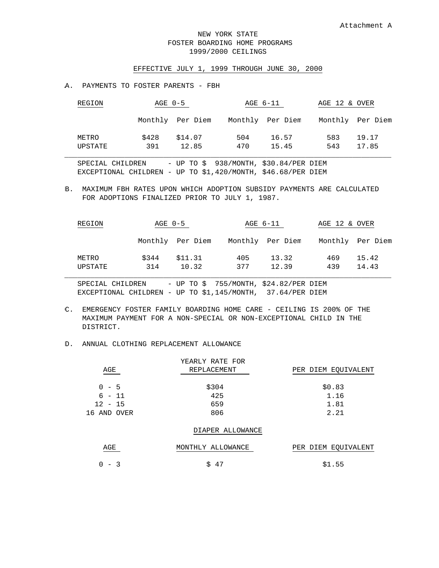## NEW YORK STATE FOSTER BOARDING HOME PROGRAMS 1999/2000 CEILINGS

#### EFFECTIVE JULY 1, 1999 THROUGH JUNE 30, 2000

#### A. PAYMENTS TO FOSTER PARENTS - FBH

| REGION           | AGE 0-5      |                  |            | AGE 6-11         | AGE 12 & OVER |                  |  |
|------------------|--------------|------------------|------------|------------------|---------------|------------------|--|
|                  |              | Monthly Per Diem |            | Monthly Per Diem |               | Monthly Per Diem |  |
| METRO<br>UPSTATE | \$428<br>391 | \$14.07<br>12.85 | 504<br>470 | 16.57<br>15.45   | 583<br>543    | 19.17<br>17.85   |  |

 SPECIAL CHILDREN - UP TO \$ 938/MONTH, \$30.84/PER DIEM EXCEPTIONAL CHILDREN - UP TO \$1,420/MONTH, \$46.68/PER DIEM

B. MAXIMUM FBH RATES UPON WHICH ADOPTION SUBSIDY PAYMENTS ARE CALCULATED FOR ADOPTIONS FINALIZED PRIOR TO JULY 1, 1987.

| REGION  | AGE 0-5 |                  | AGE 6-11 |                  | AGE 12 & OVER |                  |
|---------|---------|------------------|----------|------------------|---------------|------------------|
|         |         | Monthly Per Diem |          | Monthly Per Diem |               | Monthly Per Diem |
| METRO   | \$344   | \$11.31          | 405      | 13.32            | 469           | 15.42            |
| UPSTATE | 314     | 10.32            | 377      | 12.39            | 439           | 14.43            |

 SPECIAL CHILDREN - UP TO \$ 755/MONTH, \$24.82/PER DIEM EXCEPTIONAL CHILDREN - UP TO \$1,145/MONTH, 37.64/PER DIEM

C. EMERGENCY FOSTER FAMILY BOARDING HOME CARE - CEILING IS 200% OF THE MAXIMUM PAYMENT FOR A NON-SPECIAL OR NON-EXCEPTIONAL CHILD IN THE DISTRICT.

#### D. ANNUAL CLOTHING REPLACEMENT ALLOWANCE

|             | YEARLY RATE FOR   |                     |
|-------------|-------------------|---------------------|
| AGE         | REPLACEMENT       | PER DIEM EQUIVALENT |
|             |                   |                     |
| $0 - 5$     | \$304             | \$0.83              |
| $6 - 11$    | 425               | 1.16                |
| $12 - 15$   | 659               | 1.81                |
| 16 AND OVER | 806               | 2.21                |
|             | DIAPER ALLOWANCE  |                     |
| AGE         | MONTHLY ALLOWANCE | PER DIEM EQUIVALENT |
| $-3$<br>0   | 47<br>\$.         | \$1.55              |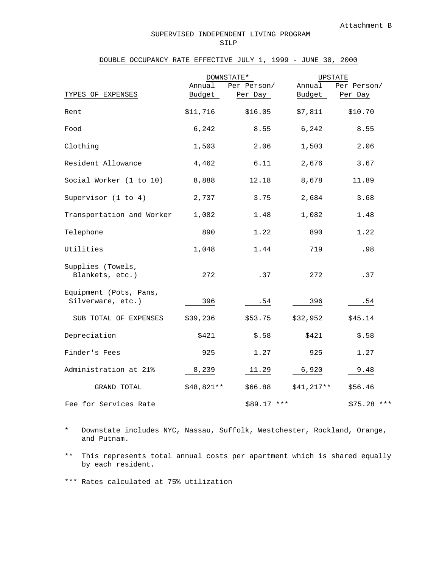#### SUPERVISED INDEPENDENT LIVING PROGRAM SILP

## DOUBLE OCCUPANCY RATE EFFECTIVE JULY 1, 1999 - JUNE 30, 2000

|                                             | DOWNSTATE*       |                        |                  | <b>UPSTATE</b>         |
|---------------------------------------------|------------------|------------------------|------------------|------------------------|
| TYPES OF EXPENSES                           | Annual<br>Budget | Per Person/<br>Per Day | Annual<br>Budget | Per Person/<br>Per Day |
| Rent                                        | \$11,716         | \$16.05                | \$7,811          | \$10.70                |
| Food                                        | 6,242            | 8.55                   | 6,242            | 8.55                   |
| Clothing                                    | 1,503            | 2.06                   | 1,503            | 2.06                   |
| Resident Allowance                          | 4,462            | 6.11                   | 2,676            | 3.67                   |
| Social Worker (1 to 10)                     | 8,888            | 12.18                  | 8,678            | 11.89                  |
| Supervisor $(1 to 4)$                       | 2,737            | 3.75                   | 2,684            | 3.68                   |
| Transportation and Worker                   | 1,082            | 1.48                   | 1,082            | 1.48                   |
| Telephone                                   | 890              | 1.22                   | 890              | 1.22                   |
| Utilities                                   | 1,048            | 1.44                   | 719              | .98                    |
| Supplies (Towels,<br>Blankets, etc.)        | 272              | .37                    | 272              | .37                    |
| Equipment (Pots, Pans,<br>Silverware, etc.) | 396              | .54                    | 396              | .54                    |
| SUB TOTAL OF EXPENSES                       | \$39,236         | \$53.75                | \$32,952         | \$45.14                |
| Depreciation                                | \$421            | \$.58                  | \$421            | \$.58                  |
| Finder's Fees                               | 925              | 1.27                   | 925              | 1.27                   |
| Administration at 21%                       | 8,239            | 11.29                  | 6,920            | 9.48                   |
| GRAND TOTAL                                 | \$48,821**       | \$66.88                | $$41,217**$      | \$56.46                |
| Fee for Services Rate                       |                  | $$89.17$ ***           |                  | $$75.28$ ***           |

- \* Downstate includes NYC, Nassau, Suffolk, Westchester, Rockland, Orange, and Putnam.
- \*\* This represents total annual costs per apartment which is shared equally by each resident.

\*\*\* Rates calculated at 75% utilization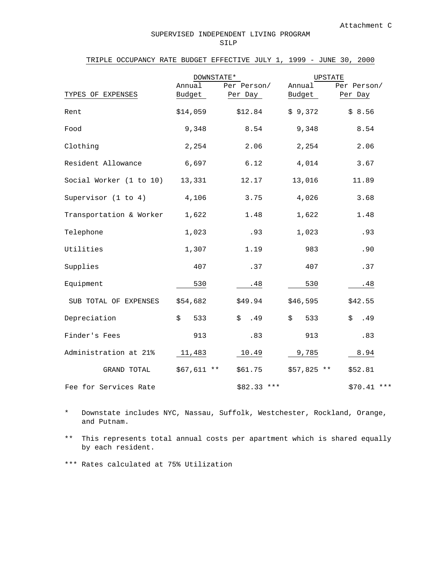## TRIPLE OCCUPANCY RATE BUDGET EFFECTIVE JULY 1, 1999 - JUNE 30, 2000

|                         | DOWNSTATE*       |                        | <b>UPSTATE</b>   |                        |  |
|-------------------------|------------------|------------------------|------------------|------------------------|--|
| TYPES OF EXPENSES       | Annual<br>Budget | Per Person/<br>Per Day | Annual<br>Budget | Per Person/<br>Per Day |  |
| Rent                    | \$14,059         | \$12.84                | \$9,372          | \$8.56                 |  |
| Food                    | 9,348            | 8.54                   | 9,348            | 8.54                   |  |
| Clothing                | 2,254            | 2.06                   | 2,254            | 2.06                   |  |
| Resident Allowance      | 6,697            | 6.12                   | 4,014            | 3.67                   |  |
| Social Worker (1 to 10) | 13,331           | 12.17                  | 13,016           | 11.89                  |  |
| Supervisor $(1 to 4)$   | 4,106            | 3.75                   | 4,026            | 3.68                   |  |
| Transportation & Worker | 1,622            | 1.48                   | 1,622            | 1.48                   |  |
| Telephone               | 1,023            | .93                    | 1,023            | .93                    |  |
| Utilities               | 1,307            | 1.19                   | 983              | .90                    |  |
| Supplies                | 407              | .37                    | 407              | .37                    |  |
| Equipment               | 530              | .48                    | 530              | .48                    |  |
| SUB TOTAL OF EXPENSES   | \$54,682         | \$49.94                | \$46,595         | \$42.55                |  |
| Depreciation            | \$<br>533        | \$<br>.49              | \$<br>533        | \$<br>.49              |  |
| Finder's Fees           | 913              | .83                    | 913              | .83                    |  |
| Administration at 21%   | 11,483           | 10.49                  | 9,785            | 8.94                   |  |
| GRAND TOTAL             | $$67,611 **$     | \$61.75                | $$57,825$ **     | \$52.81                |  |
| Fee for Services Rate   |                  | $$82.33$ ***           |                  | \$70.41<br>$***$       |  |

\* Downstate includes NYC, Nassau, Suffolk, Westchester, Rockland, Orange, and Putnam.

\*\* This represents total annual costs per apartment which is shared equally by each resident.

\*\*\* Rates calculated at 75% Utilization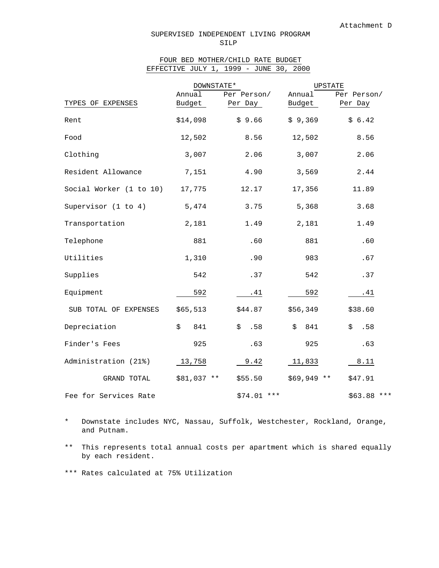#### SUPERVISED INDEPENDENT LIVING PROGRAM SILP

# FOUR BED MOTHER/CHILD RATE BUDGET EFFECTIVE JULY 1, 1999 - JUNE 30, 2000

|                         | DOWNSTATE*       |                        | UPSTATE          |                        |  |
|-------------------------|------------------|------------------------|------------------|------------------------|--|
| TYPES OF EXPENSES       | Annual<br>Budget | Per Person/<br>Per Day | Annual<br>Budget | Per Person/<br>Per Day |  |
| Rent                    | \$14,098         | \$9.66                 | \$9,369          | \$6.42                 |  |
| Food                    | 12,502           | 8.56                   | 12,502           | 8.56                   |  |
| Clothing                | 3,007            | 2.06                   | 3,007            | 2.06                   |  |
| Resident Allowance      | 7,151            | 4.90                   | 3,569            | 2.44                   |  |
| Social Worker (1 to 10) | 17,775           | 12.17                  | 17,356           | 11.89                  |  |
| Supervisor $(1 to 4)$   | 5,474            | 3.75                   | 5,368            | 3.68                   |  |
| Transportation          | 2,181            | 1.49                   | 2,181            | 1.49                   |  |
| Telephone               | 881              | .60                    | 881              | .60                    |  |
| Utilities               | 1,310            | .90                    | 983              | .67                    |  |
| Supplies                | 542              | .37                    | 542              | .37                    |  |
| Equipment               | 592              | .41                    | 592              | .41                    |  |
| SUB TOTAL OF EXPENSES   | \$65,513         | \$44.87                | \$56,349         | \$38.60                |  |
| Depreciation            | \$<br>841        | \$<br>.58              | 841<br>\$        | .58<br>\$              |  |
| Finder's Fees           | 925              | .63                    | 925              | .63                    |  |
| Administration (21%)    | 13,758           | 9.42                   | 11,833           | 8.11                   |  |
| GRAND TOTAL             | \$81,037 **      | \$55.50                | $$69,949$ **     | \$47.91                |  |
| Fee for Services Rate   |                  | $$74.01$ ***           |                  | $$63.88$ ***           |  |

\* Downstate includes NYC, Nassau, Suffolk, Westchester, Rockland, Orange, and Putnam.

\*\* This represents total annual costs per apartment which is shared equally by each resident.

\*\*\* Rates calculated at 75% Utilization